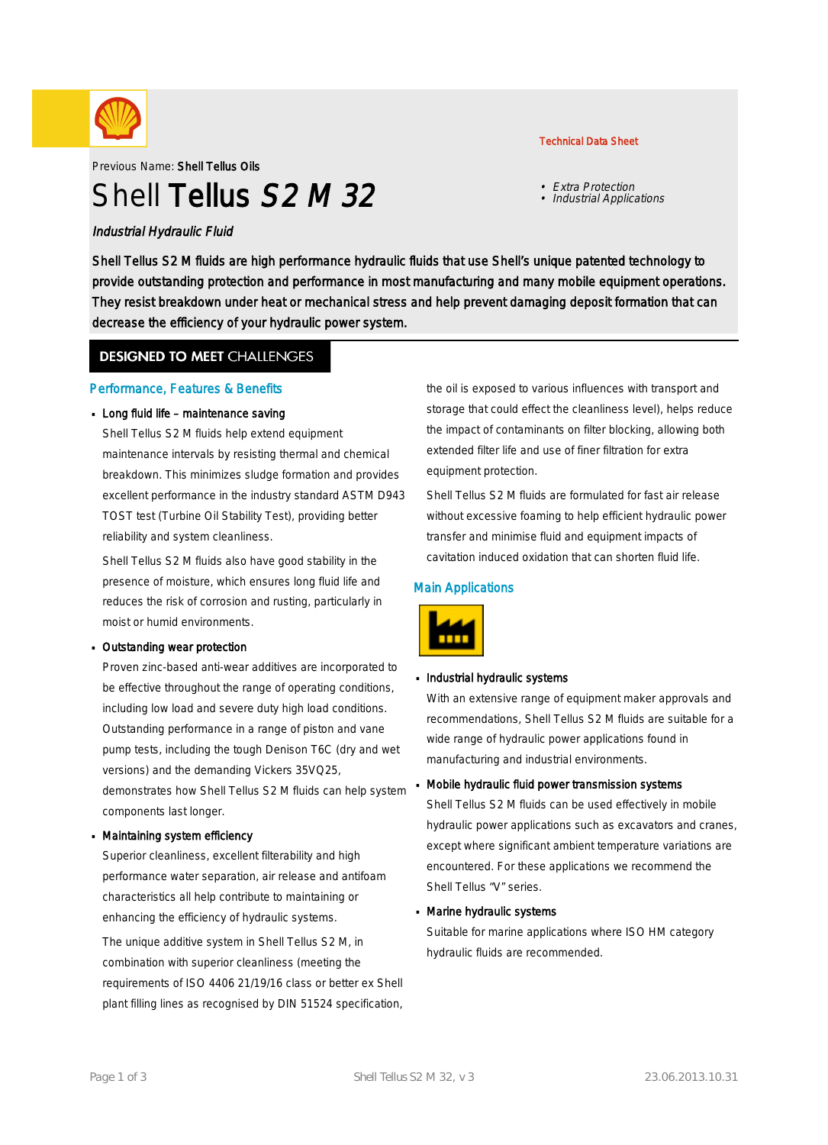

Previous Name: Shell Tellus Oils

# Shell Tellus S<sub>2</sub> M 32

#### Industrial Hydraulic Fluid

Shell Tellus S2 M fluids are high performance hydraulic fluids that use Shell's unique patented technology to provide outstanding protection and performance in most manufacturing and many mobile equipment operations. They resist breakdown under heat or mechanical stress and help prevent damaging deposit formation that can decrease the efficiency of your hydraulic power system.

#### **DESIGNED TO MEET CHALLENGES**

#### Performance, Features & Benefits

#### Long fluid life – maintenance saving

Shell Tellus S2 M fluids help extend equipment maintenance intervals by resisting thermal and chemical breakdown. This minimizes sludge formation and provides excellent performance in the industry standard ASTM D943 TOST test (Turbine Oil Stability Test), providing better reliability and system cleanliness.

Shell Tellus S2 M fluids also have good stability in the presence of moisture, which ensures long fluid life and reduces the risk of corrosion and rusting, particularly in moist or humid environments.

#### Outstanding wear protection ·

Proven zinc-based anti-wear additives are incorporated to be effective throughout the range of operating conditions, including low load and severe duty high load conditions. Outstanding performance in a range of piston and vane pump tests, including the tough Denison T6C (dry and wet versions) and the demanding Vickers 35VQ25, demonstrates how Shell Tellus S2 M fluids can help system components last longer.

#### Maintaining system efficiency ·

Superior cleanliness, excellent filterability and high performance water separation, air release and antifoam characteristics all help contribute to maintaining or enhancing the efficiency of hydraulic systems.

The unique additive system in Shell Tellus S2 M, in combination with superior cleanliness (meeting the requirements of ISO 4406 21/19/16 class or better ex Shell plant filling lines as recognised by DIN 51524 specification,

### the oil is exposed to various influences with transport and storage that could effect the cleanliness level), helps reduce the impact of contaminants on filter blocking, allowing both extended filter life and use of finer filtration for extra equipment protection.

Technical Data Sheet

• Extra Protection • Industrial Applications

Shell Tellus S2 M fluids are formulated for fast air release without excessive foaming to help efficient hydraulic power transfer and minimise fluid and equipment impacts of cavitation induced oxidation that can shorten fluid life.

#### Main Applications



## Industrial hydraulic systems

With an extensive range of equipment maker approvals and recommendations, Shell Tellus S2 M fluids are suitable for a wide range of hydraulic power applications found in manufacturing and industrial environments.

Mobile hydraulic fluid power transmission systems ·

Shell Tellus S2 M fluids can be used effectively in mobile hydraulic power applications such as excavators and cranes, except where significant ambient temperature variations are encountered. For these applications we recommend the Shell Tellus "V" series.

## Marine hydraulic systems ·

Suitable for marine applications where ISO HM category hydraulic fluids are recommended.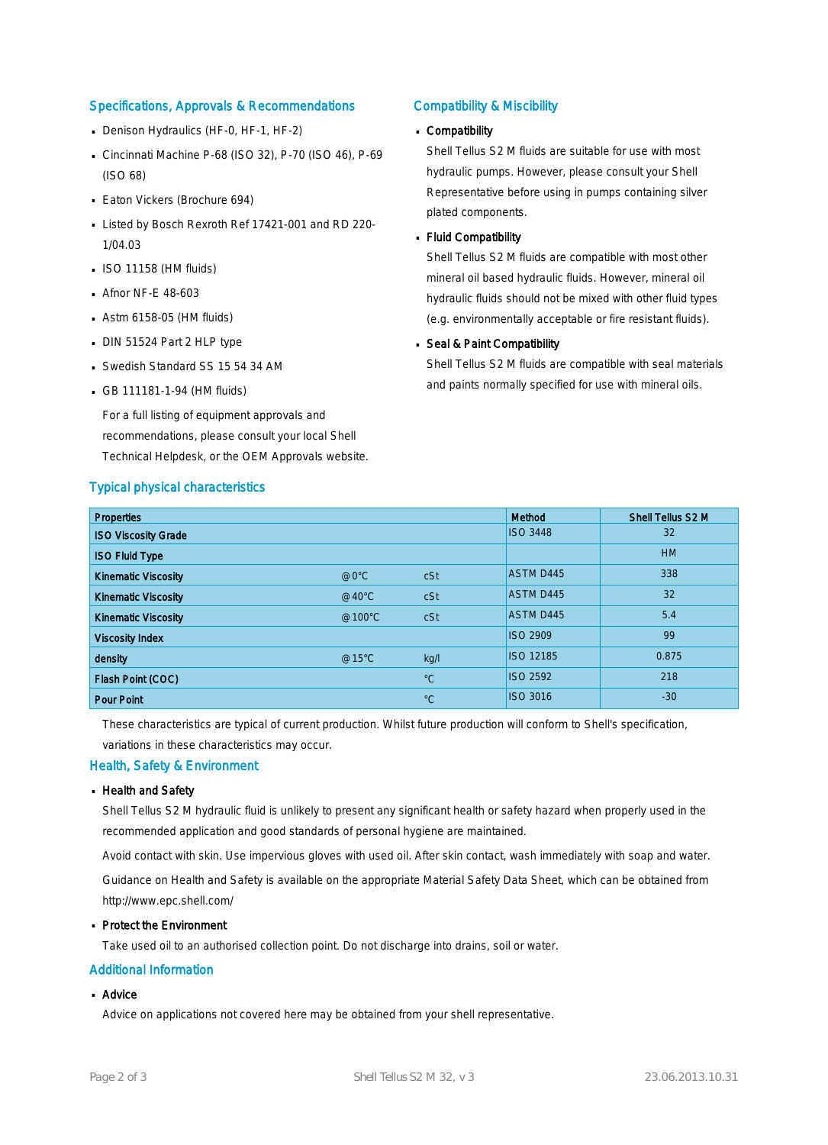#### Specifications, Approvals & Recommendations

- Denison Hydraulics (HF-0, HF-1, HF-2)
- Cincinnati Machine P-68 (ISO 32), P-70 (ISO 46), P-69 (ISO 68)
- **Eaton Vickers (Brochure 694)**
- Listed by Bosch Rexroth Ref 17421-001 and RD 220-1/04.03
- $\blacksquare$  ISO 11158 (HM fluids)
- **Afnor NF-E 48-603**
- $\blacksquare$  Astm 6158-05 (HM fluids)
- DIN 51524 Part 2 HLP type
- Swedish Standard SS 15 54 34 AM
- GB 111181-1-94 (HM fluids)

For a full listing of equipment approvals and recommendations, please consult your local Shell Technical Helpdesk, or the OEM Approvals website.

#### Typical physical characteristics

#### Compatibility & Miscibility

## Compatibility ·

Shell Tellus S2 M fluids are suitable for use with most hydraulic pumps. However, please consult your Shell Representative before using in pumps containing silver plated components.

## Fluid Compatibility ·

Shell Tellus S2 M fluids are compatible with most other mineral oil based hydraulic fluids. However, mineral oil hydraulic fluids should not be mixed with other fluid types (e.g. environmentally acceptable or fire resistant fluids).

## **Seal & Paint Compatibility**

Shell Tellus S2 M fluids are compatible with seal materials and paints normally specified for use with mineral oils.

| <b>Properties</b>          |                 |             | Method           | Shell Tellus S2 M |
|----------------------------|-----------------|-------------|------------------|-------------------|
| <b>ISO Viscosity Grade</b> |                 |             | <b>ISO 3448</b>  | 32                |
| <b>ISO Fluid Type</b>      |                 |             |                  | <b>HM</b>         |
| <b>Kinematic Viscosity</b> | @0°C            | cSt         | <b>ASTM D445</b> | 338               |
| <b>Kinematic Viscosity</b> | $@40^{\circ}$ C | cSt         | <b>ASTM D445</b> | 32                |
| <b>Kinematic Viscosity</b> | @100°C          | cSt         | <b>ASTM D445</b> | 5.4               |
| <b>Viscosity Index</b>     |                 |             | <b>ISO 2909</b>  | 99                |
| density                    | @15°C           | kg/l        | <b>ISO 12185</b> | 0.875             |
| Flash Point (COC)          |                 | $^{\circ}C$ | <b>ISO 2592</b>  | 218               |
| <b>Pour Point</b>          |                 | $^{\circ}C$ | <b>ISO 3016</b>  | $-30$             |

These characteristics are typical of current production. Whilst future production will conform to Shell's specification,

variations in these characteristics may occur.

#### Health, Safety & Environment

#### Health and Safety ·

Shell Tellus S2 M hydraulic fluid is unlikely to present any significant health or safety hazard when properly used in the recommended application and good standards of personal hygiene are maintained.

Avoid contact with skin. Use impervious gloves with used oil. After skin contact, wash immediately with soap and water. Guidance on Health and Safety is available on the appropriate Material Safety Data Sheet, which can be obtained from http://www.epc.shell.com/

#### **Protect the Environment**

Take used oil to an authorised collection point. Do not discharge into drains, soil or water.

#### Additional Information

## ■ Advice

Advice on applications not covered here may be obtained from your shell representative.